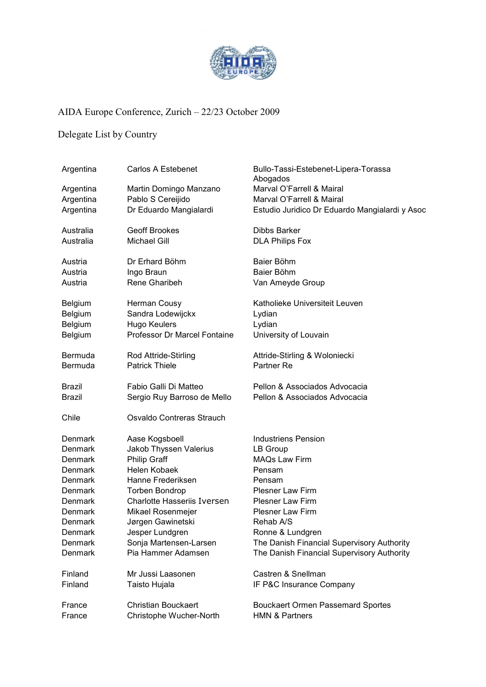

## AIDA Europe Conference, Zurich – 22/23 October 2009

## Delegate List by Country

| Argentina      | Carlos A Estebenet                 | Bullo-Tassi-Estebenet-Lipera-Torassa<br>Abogados |
|----------------|------------------------------------|--------------------------------------------------|
| Argentina      | Martin Domingo Manzano             | Marval O'Farrell & Mairal                        |
| Argentina      | Pablo S Cereijido                  | Marval O'Farrell & Mairal                        |
| Argentina      | Dr Eduardo Mangialardi             | Estudio Juridico Dr Eduardo Mangialardi y Asoc   |
| Australia      | <b>Geoff Brookes</b>               | <b>Dibbs Barker</b>                              |
| Australia      | <b>Michael Gill</b>                | <b>DLA Philips Fox</b>                           |
| Austria        | Dr Erhard Böhm                     | Baier Böhm                                       |
| Austria        | Ingo Braun                         | Baier Böhm                                       |
| Austria        | Rene Gharibeh                      | Van Ameyde Group                                 |
| <b>Belgium</b> | Herman Cousy                       | Katholieke Universiteit Leuven                   |
| Belgium        | Sandra Lodewijckx                  | Lydian                                           |
| Belgium        | Hugo Keulers                       | Lydian                                           |
| Belgium        | Professor Dr Marcel Fontaine       | University of Louvain                            |
| Bermuda        | Rod Attride-Stirling               | Attride-Stirling & Woloniecki                    |
| Bermuda        | <b>Patrick Thiele</b>              | Partner Re                                       |
| Brazil         | Fabio Galli Di Matteo              | Pellon & Associados Advocacia                    |
| <b>Brazil</b>  | Sergio Ruy Barroso de Mello        | Pellon & Associados Advocacia                    |
| Chile          | Osvaldo Contreras Strauch          |                                                  |
| Denmark        | Aase Kogsboell                     | <b>Industriens Pension</b>                       |
| Denmark        | Jakob Thyssen Valerius             | LB Group                                         |
| Denmark        | <b>Philip Graff</b>                | <b>MAQs Law Firm</b>                             |
| Denmark        | Helen Kobaek                       | Pensam                                           |
| Denmark        | Hanne Frederiksen                  | Pensam                                           |
| Denmark        | <b>Torben Bondrop</b>              | <b>Plesner Law Firm</b>                          |
| Denmark        | <b>Charlotte Hasseriis Iversen</b> | <b>Plesner Law Firm</b>                          |
| Denmark        | Mikael Rosenmejer                  | <b>Plesner Law Firm</b>                          |
| Denmark        | Jørgen Gawinetski                  | Rehab A/S                                        |
| Denmark        | Jesper Lundgren                    | Ronne & Lundgren                                 |
| Denmark        | Sonja Martensen-Larsen             | The Danish Financial Supervisory Authority       |
| Denmark        | Pia Hammer Adamsen                 | The Danish Financial Supervisory Authority       |
| Finland        | Mr Jussi Laasonen                  | Castren & Snellman                               |
| Finland        | Taisto Hujala                      | IF P&C Insurance Company                         |
| France         | <b>Christian Bouckaert</b>         | <b>Bouckaert Ormen Passemard Sportes</b>         |
| France         | Christophe Wucher-North            | <b>HMN &amp; Partners</b>                        |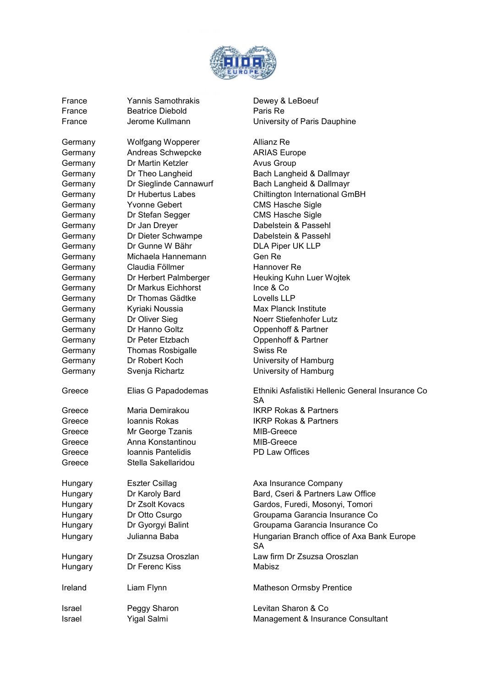

France **Yannis Samothrakis** Dewey & LeBoeuf France Beatrice Diebold **Paris Re** 

Germany Wolfgang Wopperer Allianz Re Germany Andreas Schwepcke ARIAS Europe Germany Dr Martin Ketzler **Avus Group** Germany Dr Theo Langheid Bach Langheid & Dallmayr Germany Dr Sieglinde Cannawurf Bach Langheid & Dallmayr Germany Dr Hubertus Labes Chiltington International GmBH Germany Yvonne Gebert CMS Hasche Sigle Germany Dr Stefan Segger CMS Hasche Sigle Germany Dr Jan Dreyer Dabelstein & Passehl Germany Dr Dieter Schwampe Dabelstein & Passehl Germany Dr Gunne W Bähr DLA Piper UK LLP Germany Michaela Hannemann Gen Re Germany Claudia Föllmer Hannover Re Germany Dr Herbert Palmberger Heuking Kuhn Luer Wojtek Germany Dr Markus Eichhorst Ince & Co Germany Dr Thomas Gädtke Lovells LLP Germany Kyriaki Noussia Max Planck Institute Germany Dr Oliver Sieg Noerr Stiefenhofer Lutz Germany Dr Hanno Goltz **Contact Conventional Convention Convention** Oppenhoff & Partner Germany Dr Peter Etzbach Oppenhoff & Partner Germany Thomas Rosbigalle Swiss Re Germany Dr Robert Koch University of Hamburg Germany Svenja Richartz University of Hamburg Greece Elias G Papadodemas Ethniki Asfalistiki Hellenic General Insurance Co Greece Maria Demirakou IKRP Rokas & Partners Greece Ioannis Rokas IKRP Rokas & Partners Greece Mr George Tzanis MIB-Greece Greece Anna Konstantinou MIB-Greece Greece Ioannis Pantelidis PD Law Offices Greece Stella Sakellaridou Hungary Eszter Csillag **Axa Insurance Company** Hungary Dr Karoly Bard Bard, Cseri & Partners Law Office Hungary Dr Zsolt Kovacs Gardos, Furedi, Mosonyi, Tomori Hungary Dr Otto Csurgo Groupama Garancia Insurance Co Hungary Dr Gyorgyi Balint Groupama Garancia Insurance Co Hungary Julianna Baba Hungarian Branch office of Axa Bank Europe Hungary Dr Zsuzsa Oroszlan Law firm Dr Zsuzsa Oroszlan Hungary Dr Ferenc Kiss Mabisz Ireland Liam Flynn Liam Alexander Matheson Ormsby Prentice Israel Peggy Sharon Levitan Sharon & Co

France **Information** Jerome Kullmann **Veryon State University of Paris Dauphine** 

SA

SA

Israel Yigal Salmi Management & Insurance Consultant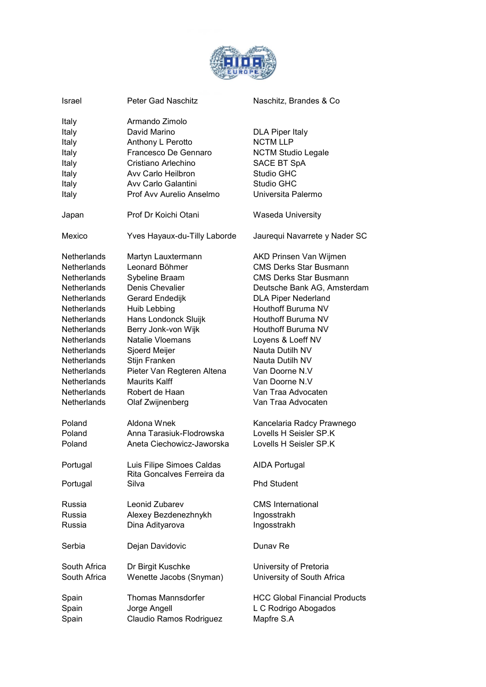

| Israel                                                               | Peter Gad Naschitz                                                                                                                                                          | Naschitz, Brandes & Co                                                                                                                         |
|----------------------------------------------------------------------|-----------------------------------------------------------------------------------------------------------------------------------------------------------------------------|------------------------------------------------------------------------------------------------------------------------------------------------|
| Italy<br>Italy<br>Italy<br>Italy<br>Italy<br>Italy<br>Italy<br>Italy | Armando Zimolo<br>David Marino<br>Anthony L Perotto<br>Francesco De Gennaro<br>Cristiano Arlechino<br>Avy Carlo Heilbron<br>Avy Carlo Galantini<br>Prof Avy Aurelio Anselmo | <b>DLA Piper Italy</b><br><b>NCTM LLP</b><br><b>NCTM Studio Legale</b><br>SACE BT SpA<br><b>Studio GHC</b><br>Studio GHC<br>Universita Palermo |
| Japan                                                                | Prof Dr Koichi Otani                                                                                                                                                        | <b>Waseda University</b>                                                                                                                       |
| Mexico                                                               | Yves Hayaux-du-Tilly Laborde                                                                                                                                                | Jaurequi Navarrete y Nader SC                                                                                                                  |
| <b>Netherlands</b>                                                   | Martyn Lauxtermann                                                                                                                                                          | AKD Prinsen Van Wijmen                                                                                                                         |
| <b>Netherlands</b>                                                   | Leonard Böhmer                                                                                                                                                              | <b>CMS Derks Star Busmann</b>                                                                                                                  |
| Netherlands                                                          | Sybeline Braam                                                                                                                                                              | <b>CMS Derks Star Busmann</b>                                                                                                                  |
| Netherlands                                                          | Denis Chevalier                                                                                                                                                             | Deutsche Bank AG, Amsterdam                                                                                                                    |
| Netherlands                                                          | Gerard Endedijk                                                                                                                                                             | <b>DLA Piper Nederland</b>                                                                                                                     |
| Netherlands                                                          | Huib Lebbing                                                                                                                                                                | Houthoff Buruma NV                                                                                                                             |
| <b>Netherlands</b>                                                   | Hans Londonck Sluijk                                                                                                                                                        | Houthoff Buruma NV                                                                                                                             |
| <b>Netherlands</b>                                                   | Berry Jonk-von Wijk                                                                                                                                                         | Houthoff Buruma NV                                                                                                                             |
| <b>Netherlands</b>                                                   | Natalie Vloemans                                                                                                                                                            | Loyens & Loeff NV                                                                                                                              |
| Netherlands                                                          | Sjoerd Meijer                                                                                                                                                               | Nauta Dutilh NV                                                                                                                                |
| <b>Netherlands</b>                                                   | Stijn Franken                                                                                                                                                               | Nauta Dutilh NV                                                                                                                                |
| <b>Netherlands</b>                                                   | Pieter Van Regteren Altena                                                                                                                                                  | Van Doorne N.V                                                                                                                                 |
| Netherlands                                                          | <b>Maurits Kalff</b>                                                                                                                                                        | Van Doorne N.V                                                                                                                                 |
| Netherlands                                                          | Robert de Haan                                                                                                                                                              | Van Traa Advocaten                                                                                                                             |
| Netherlands                                                          | Olaf Zwijnenberg                                                                                                                                                            | Van Traa Advocaten                                                                                                                             |
| Poland                                                               | Aldona Wnek                                                                                                                                                                 | Kancelaria Radcy Prawnego                                                                                                                      |
| Poland                                                               | Anna Tarasiuk-Flodrowska                                                                                                                                                    | Lovells H Seisler SP.K                                                                                                                         |
| Poland                                                               | Aneta Ciechowicz-Jaworska                                                                                                                                                   | Lovells H Seisler SP.K                                                                                                                         |
| Portugal<br>Portugal                                                 | Luis Filipe Simoes Caldas<br>Rita Goncalves Ferreira da<br>Silva                                                                                                            | <b>AIDA Portugal</b><br><b>Phd Student</b>                                                                                                     |
| Russia                                                               | Leonid Zubarev                                                                                                                                                              | <b>CMS</b> International                                                                                                                       |
| Russia                                                               | Alexey Bezdenezhnykh                                                                                                                                                        | Ingosstrakh                                                                                                                                    |
| Russia                                                               | Dina Adityarova                                                                                                                                                             | Ingosstrakh                                                                                                                                    |
| Serbia                                                               | Dejan Davidovic                                                                                                                                                             | Dunav Re                                                                                                                                       |
| South Africa                                                         | Dr Birgit Kuschke                                                                                                                                                           | University of Pretoria                                                                                                                         |
| South Africa                                                         | Wenette Jacobs (Snyman)                                                                                                                                                     | University of South Africa                                                                                                                     |
| Spain                                                                | <b>Thomas Mannsdorfer</b>                                                                                                                                                   | <b>HCC Global Financial Products</b>                                                                                                           |
| Spain                                                                | Jorge Angell                                                                                                                                                                | L C Rodrigo Abogados                                                                                                                           |
| Spain                                                                | Claudio Ramos Rodriguez                                                                                                                                                     | Mapfre S.A                                                                                                                                     |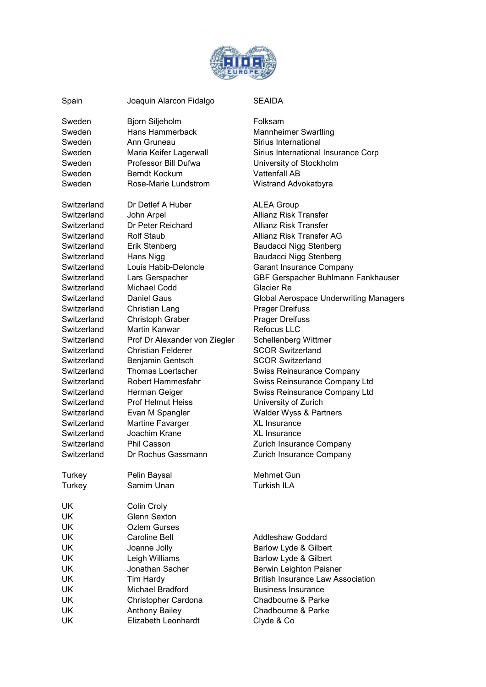

| Spain            | Joaquin Alarcon Fidalgo                      | <b>SEAIDA</b>                                               |
|------------------|----------------------------------------------|-------------------------------------------------------------|
| Sweden           | Bjorn Siljeholm                              | Folksam                                                     |
| Sweden           | Hans Hammerback                              |                                                             |
|                  | Ann Gruneau                                  | <b>Mannheimer Swartling</b>                                 |
| Sweden<br>Sweden |                                              | Sirius International<br>Sirius International Insurance Corp |
|                  | Maria Keifer Lagerwall                       |                                                             |
| Sweden           | Professor Bill Dufwa<br><b>Berndt Kockum</b> | University of Stockholm                                     |
| Sweden           |                                              | <b>Vattenfall AB</b>                                        |
| Sweden           | Rose-Marie Lundstrom                         | Wistrand Advokatbyra                                        |
| Switzerland      | Dr Detlef A Huber                            | <b>ALEA Group</b>                                           |
| Switzerland      | John Arpel                                   | <b>Allianz Risk Transfer</b>                                |
| Switzerland      | Dr Peter Reichard                            | Allianz Risk Transfer                                       |
| Switzerland      | <b>Rolf Staub</b>                            | Allianz Risk Transfer AG                                    |
| Switzerland      | Erik Stenberg                                | <b>Baudacci Nigg Stenberg</b>                               |
| Switzerland      | Hans Nigg                                    | <b>Baudacci Nigg Stenberg</b>                               |
| Switzerland      | Louis Habib-Deloncle                         | <b>Garant Insurance Company</b>                             |
| Switzerland      | Lars Gerspacher                              | GBF Gerspacher Buhlmann Fankhauser                          |
| Switzerland      | Michael Codd                                 | Glacier Re                                                  |
| Switzerland      | <b>Daniel Gaus</b>                           | <b>Global Aerospace Underwriting Managers</b>               |
| Switzerland      | Christian Lang                               | <b>Prager Dreifuss</b>                                      |
| Switzerland      | <b>Christoph Graber</b>                      | <b>Prager Dreifuss</b>                                      |
| Switzerland      | Martin Kanwar                                | <b>Refocus LLC</b>                                          |
| Switzerland      | Prof Dr Alexander von Ziegler                | Schellenberg Wittmer                                        |
| Switzerland      | <b>Christian Felderer</b>                    | <b>SCOR Switzerland</b>                                     |
| Switzerland      | Benjamin Gentsch                             | <b>SCOR Switzerland</b>                                     |
| Switzerland      | Thomas Loertscher                            | <b>Swiss Reinsurance Company</b>                            |
| Switzerland      | Robert Hammesfahr                            | Swiss Reinsurance Company Ltd                               |
| Switzerland      | Herman Geiger                                | Swiss Reinsurance Company Ltd                               |
| Switzerland      | <b>Prof Helmut Heiss</b>                     | University of Zurich                                        |
| Switzerland      | Evan M Spangler                              | Walder Wyss & Partners                                      |
| Switzerland      | Martine Favarger                             | <b>XL Insurance</b>                                         |
| Switzerland      | Joachim Krane                                | <b>XL Insurance</b>                                         |
| Switzerland      | <b>Phil Casson</b>                           | Zurich Insurance Company                                    |
| Switzerland      | Dr Rochus Gassmann                           | Zurich Insurance Company                                    |
| Turkey           | Pelin Baysal                                 | Mehmet Gun                                                  |
| Turkey           | Samim Unan                                   | <b>Turkish ILA</b>                                          |
| <b>UK</b>        | Colin Croly                                  |                                                             |
| UK               | <b>Glenn Sexton</b>                          |                                                             |
| <b>UK</b>        | <b>Ozlem Gurses</b>                          |                                                             |
| <b>UK</b>        | Caroline Bell                                | <b>Addleshaw Goddard</b>                                    |
| UK               | Joanne Jolly                                 | Barlow Lyde & Gilbert                                       |
| <b>UK</b>        | Leigh Williams                               | Barlow Lyde & Gilbert                                       |
| UK               | Jonathan Sacher                              | Berwin Leighton Paisner                                     |
| <b>UK</b>        | Tim Hardy                                    | <b>British Insurance Law Association</b>                    |
| <b>UK</b>        | Michael Bradford                             | <b>Business Insurance</b>                                   |
| <b>UK</b>        | Christopher Cardona                          | Chadbourne & Parke                                          |
| <b>UK</b>        | <b>Anthony Bailey</b>                        | Chadbourne & Parke                                          |
| <b>UK</b>        | Elizabeth Leonhardt                          | Clyde & Co                                                  |
|                  |                                              |                                                             |